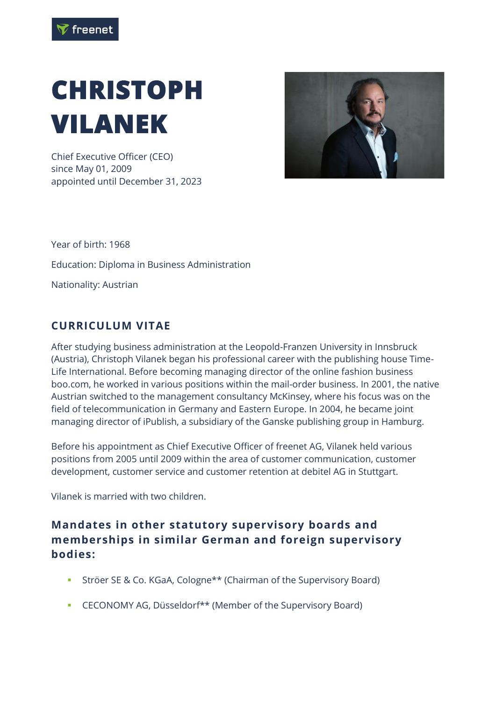

## **CHRISTOPH VILANEK**

Chief Executive Officer (CEO) since May 01, 2009 appointed until December 31, 2023



Year of birth: 1968 Education: Diploma in Business Administration Nationality: Austrian

## **CURRICULUM VITAE**

After studying business administration at the Leopold-Franzen University in Innsbruck (Austria), Christoph Vilanek began his professional career with the publishing house Time-Life International. Before becoming managing director of the online fashion business boo.com, he worked in various positions within the mail-order business. In 2001, the native Austrian switched to the management consultancy McKinsey, where his focus was on the field of telecommunication in Germany and Eastern Europe. In 2004, he became joint managing director of iPublish, a subsidiary of the Ganske publishing group in Hamburg.

Before his appointment as Chief Executive Officer of freenet AG, Vilanek held various positions from 2005 until 2009 within the area of customer communication, customer development, customer service and customer retention at debitel AG in Stuttgart.

Vilanek is married with two children.

## **Mandates in other statutory supervisory boards and memberships in similar German and foreign supervisory bodies:**

- **EXECT:** Ströer SE & Co. KGaA, Cologne\*\* (Chairman of the Supervisory Board)
- CECONOMY AG, Düsseldorf\*\* (Member of the Supervisory Board)